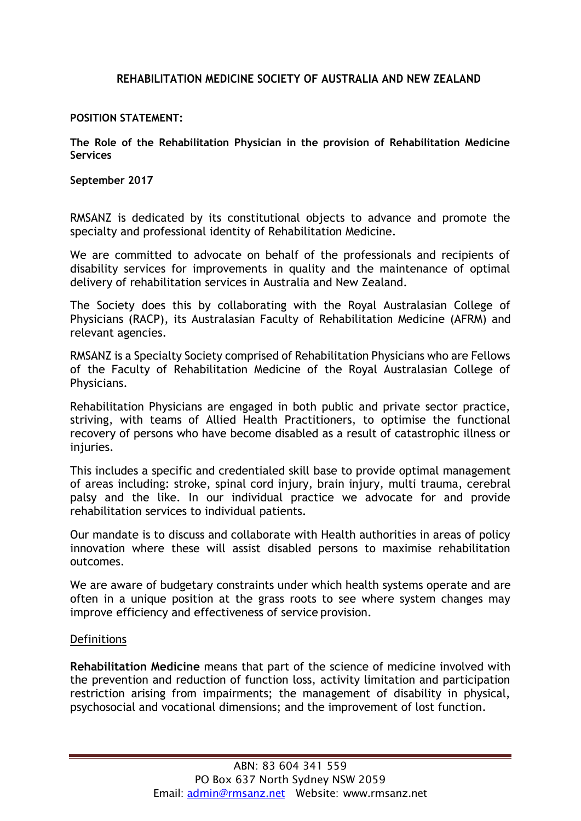## **REHABILITATION MEDICINE SOCIETY OF AUSTRALIA AND NEW ZEALAND**

## **POSITION STATEMENT:**

**The Role of the Rehabilitation Physician in the provision of Rehabilitation Medicine Services**

**September 2017**

RMSANZ is dedicated by its constitutional objects to advance and promote the specialty and professional identity of Rehabilitation Medicine.

We are committed to advocate on behalf of the professionals and recipients of disability services for improvements in quality and the maintenance of optimal delivery of rehabilitation services in Australia and New Zealand.

The Society does this by collaborating with the Royal Australasian College of Physicians (RACP), its Australasian Faculty of Rehabilitation Medicine (AFRM) and relevant agencies.

RMSANZ is a Specialty Society comprised of Rehabilitation Physicians who are Fellows of the Faculty of Rehabilitation Medicine of the Royal Australasian College of Physicians.

Rehabilitation Physicians are engaged in both public and private sector practice, striving, with teams of Allied Health Practitioners, to optimise the functional recovery of persons who have become disabled as a result of catastrophic illness or injuries.

This includes a specific and credentialed skill base to provide optimal management of areas including: stroke, spinal cord injury, brain injury, multi trauma, cerebral palsy and the like. In our individual practice we advocate for and provide rehabilitation services to individual patients.

Our mandate is to discuss and collaborate with Health authorities in areas of policy innovation where these will assist disabled persons to maximise rehabilitation outcomes.

We are aware of budgetary constraints under which health systems operate and are often in a unique position at the grass roots to see where system changes may improve efficiency and effectiveness of service provision.

## Definitions

**Rehabilitation Medicine** means that part of the science of medicine involved with the prevention and reduction of function loss, activity limitation and participation restriction arising from impairments; the management of disability in physical, psychosocial and vocational dimensions; and the improvement of lost function.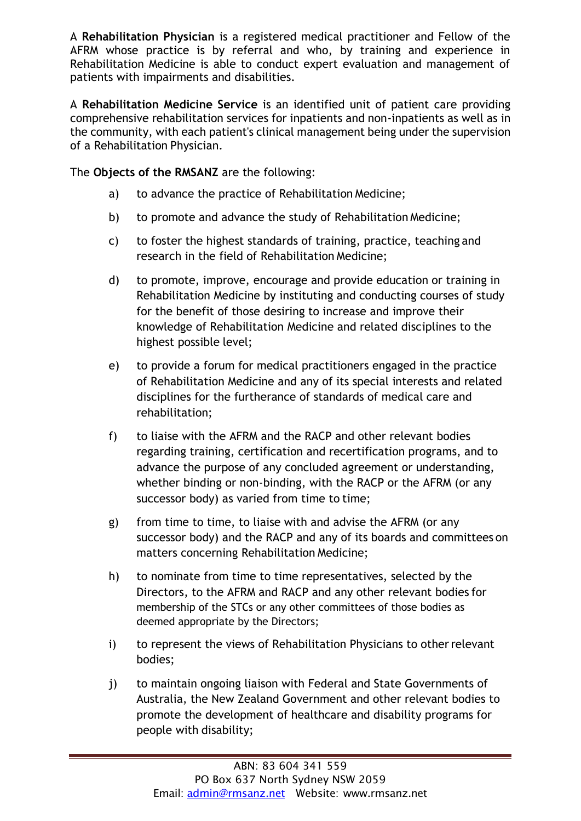A **Rehabilitation Physician** is a registered medical practitioner and Fellow of the AFRM whose practice is by referral and who, by training and experience in Rehabilitation Medicine is able to conduct expert evaluation and management of patients with impairments and disabilities.

A **Rehabilitation Medicine Service** is an identified unit of patient care providing comprehensive rehabilitation services for inpatients and non-inpatients as well as in the community, with each patient's clinical management being under the supervision of a Rehabilitation Physician.

The **Objects of the RMSANZ** are the following:

- a) to advance the practice of Rehabilitation Medicine;
- b) to promote and advance the study of Rehabilitation Medicine;
- c) to foster the highest standards of training, practice, teaching and research in the field of Rehabilitation Medicine;
- d) to promote, improve, encourage and provide education or training in Rehabilitation Medicine by instituting and conducting courses of study for the benefit of those desiring to increase and improve their knowledge of Rehabilitation Medicine and related disciplines to the highest possible level;
- e) to provide a forum for medical practitioners engaged in the practice of Rehabilitation Medicine and any of its special interests and related disciplines for the furtherance of standards of medical care and rehabilitation;
- f) to liaise with the AFRM and the RACP and other relevant bodies regarding training, certification and recertification programs, and to advance the purpose of any concluded agreement or understanding, whether binding or non-binding, with the RACP or the AFRM (or any successor body) as varied from time to time;
- g) from time to time, to liaise with and advise the AFRM (or any successor body) and the RACP and any of its boards and committees on matters concerning Rehabilitation Medicine;
- h) to nominate from time to time representatives, selected by the Directors, to the AFRM and RACP and any other relevant bodies for membership of the STCs or any other committees of those bodies as deemed appropriate by the Directors;
- i) to represent the views of Rehabilitation Physicians to other relevant bodies;
- j) to maintain ongoing liaison with Federal and State Governments of Australia, the New Zealand Government and other relevant bodies to promote the development of healthcare and disability programs for people with disability;